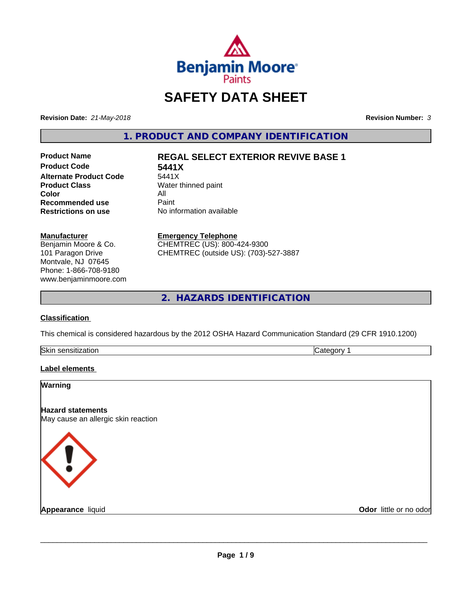

# **SAFETY DATA SHEET**

**Revision Date:** *21-May-2018* **Revision Number:** *3*

**1. PRODUCT AND COMPANY IDENTIFICATION**

**Product Code 5441X Alternate Product Code** 5441X<br>**Product Class** Water t **Color** All<br> **Recommended use** Paint **Recommended use**<br>Restrictions on use

## **Product Name REGAL SELECT EXTERIOR REVIVE BASE 1**

**Water thinned paint Restrictions on use** No information available

#### **Manufacturer**

Benjamin Moore & Co. 101 Paragon Drive Montvale, NJ 07645 Phone: 1-866-708-9180 www.benjaminmoore.com

#### **Emergency Telephone**

CHEMTREC (US): 800-424-9300 CHEMTREC (outside US): (703)-527-3887

**2. HAZARDS IDENTIFICATION**

### **Classification**

This chemical is considered hazardous by the 2012 OSHA Hazard Communication Standard (29 CFR 1910.1200)

| Skin<br>.<br>auor<br>. | . |
|------------------------|---|

### **Label elements**

| Warning                                                         |                        |
|-----------------------------------------------------------------|------------------------|
| <b>Hazard statements</b><br>May cause an allergic skin reaction |                        |
| <b>KI</b>                                                       |                        |
| <b>Appearance liquid</b>                                        | Odor little or no odor |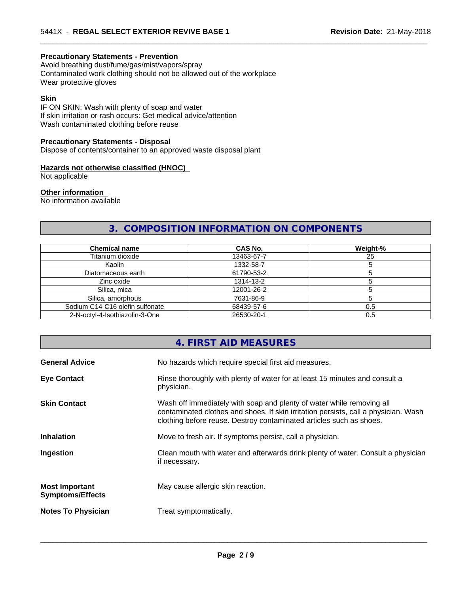#### **Precautionary Statements - Prevention**

Avoid breathing dust/fume/gas/mist/vapors/spray Contaminated work clothing should not be allowed out of the workplace Wear protective gloves

#### **Skin**

IF ON SKIN: Wash with plenty of soap and water If skin irritation or rash occurs: Get medical advice/attention Wash contaminated clothing before reuse

#### **Precautionary Statements - Disposal**

Dispose of contents/container to an approved waste disposal plant

#### **Hazards not otherwise classified (HNOC)**

Not applicable

#### **Other information**

No information available

## **3. COMPOSITION INFORMATION ON COMPONENTS**

 $\overline{\phantom{a}}$  ,  $\overline{\phantom{a}}$  ,  $\overline{\phantom{a}}$  ,  $\overline{\phantom{a}}$  ,  $\overline{\phantom{a}}$  ,  $\overline{\phantom{a}}$  ,  $\overline{\phantom{a}}$  ,  $\overline{\phantom{a}}$  ,  $\overline{\phantom{a}}$  ,  $\overline{\phantom{a}}$  ,  $\overline{\phantom{a}}$  ,  $\overline{\phantom{a}}$  ,  $\overline{\phantom{a}}$  ,  $\overline{\phantom{a}}$  ,  $\overline{\phantom{a}}$  ,  $\overline{\phantom{a}}$ 

| <b>Chemical name</b>            | CAS No.    | Weight-% |
|---------------------------------|------------|----------|
| Titanium dioxide                | 13463-67-7 | 25       |
| Kaolin                          | 1332-58-7  |          |
| Diatomaceous earth              | 61790-53-2 |          |
| Zinc oxide                      | 1314-13-2  |          |
| Silica, mica                    | 12001-26-2 |          |
| Silica, amorphous               | 7631-86-9  |          |
| Sodium C14-C16 olefin sulfonate | 68439-57-6 | 0.5      |
| 2-N-octyl-4-Isothiazolin-3-One  | 26530-20-1 | 0.5      |

## **4. FIRST AID MEASURES**

| <b>General Advice</b>                            | No hazards which require special first aid measures.                                                                                                                                                                                |
|--------------------------------------------------|-------------------------------------------------------------------------------------------------------------------------------------------------------------------------------------------------------------------------------------|
| <b>Eye Contact</b>                               | Rinse thoroughly with plenty of water for at least 15 minutes and consult a<br>physician.                                                                                                                                           |
| <b>Skin Contact</b>                              | Wash off immediately with soap and plenty of water while removing all<br>contaminated clothes and shoes. If skin irritation persists, call a physician. Wash<br>clothing before reuse. Destroy contaminated articles such as shoes. |
| <b>Inhalation</b>                                | Move to fresh air. If symptoms persist, call a physician.                                                                                                                                                                           |
| Ingestion                                        | Clean mouth with water and afterwards drink plenty of water. Consult a physician<br>if necessary.                                                                                                                                   |
| <b>Most Important</b><br><b>Symptoms/Effects</b> | May cause allergic skin reaction.                                                                                                                                                                                                   |
| <b>Notes To Physician</b>                        | Treat symptomatically.                                                                                                                                                                                                              |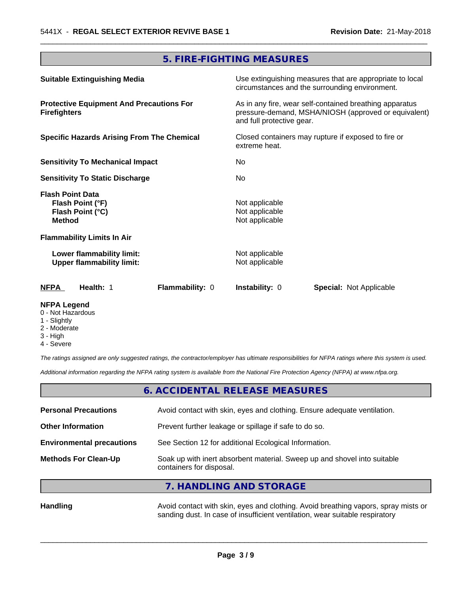## **5. FIRE-FIGHTING MEASURES**

 $\overline{\phantom{a}}$  ,  $\overline{\phantom{a}}$  ,  $\overline{\phantom{a}}$  ,  $\overline{\phantom{a}}$  ,  $\overline{\phantom{a}}$  ,  $\overline{\phantom{a}}$  ,  $\overline{\phantom{a}}$  ,  $\overline{\phantom{a}}$  ,  $\overline{\phantom{a}}$  ,  $\overline{\phantom{a}}$  ,  $\overline{\phantom{a}}$  ,  $\overline{\phantom{a}}$  ,  $\overline{\phantom{a}}$  ,  $\overline{\phantom{a}}$  ,  $\overline{\phantom{a}}$  ,  $\overline{\phantom{a}}$ 

| <b>Suitable Extinguishing Media</b>                                              | Use extinguishing measures that are appropriate to local<br>circumstances and the surrounding environment.                                   |
|----------------------------------------------------------------------------------|----------------------------------------------------------------------------------------------------------------------------------------------|
| <b>Protective Equipment And Precautions For</b><br><b>Firefighters</b>           | As in any fire, wear self-contained breathing apparatus<br>pressure-demand, MSHA/NIOSH (approved or equivalent)<br>and full protective gear. |
| <b>Specific Hazards Arising From The Chemical</b>                                | Closed containers may rupture if exposed to fire or<br>extreme heat.                                                                         |
| <b>Sensitivity To Mechanical Impact</b>                                          | No                                                                                                                                           |
| <b>Sensitivity To Static Discharge</b>                                           | No.                                                                                                                                          |
| <b>Flash Point Data</b><br>Flash Point (°F)<br>Flash Point (°C)<br><b>Method</b> | Not applicable<br>Not applicable<br>Not applicable                                                                                           |
| <b>Flammability Limits In Air</b>                                                |                                                                                                                                              |
| Lower flammability limit:<br><b>Upper flammability limit:</b>                    | Not applicable<br>Not applicable                                                                                                             |
| <b>NFPA</b><br><b>Flammability: 0</b><br>Health: 1                               | <b>Instability: 0</b><br><b>Special: Not Applicable</b>                                                                                      |

#### **NFPA Legend**

- 0 Not Hazardous
- 1 Slightly
- 2 Moderate
- 3 High
- 4 Severe

*The ratings assigned are only suggested ratings, the contractor/employer has ultimate responsibilities for NFPA ratings where this system is used.*

*Additional information regarding the NFPA rating system is available from the National Fire Protection Agency (NFPA) at www.nfpa.org.*

## **6. ACCIDENTAL RELEASE MEASURES**

| <b>Personal Precautions</b>      | Avoid contact with skin, eyes and clothing. Ensure adequate ventilation.                             |
|----------------------------------|------------------------------------------------------------------------------------------------------|
| <b>Other Information</b>         | Prevent further leakage or spillage if safe to do so.                                                |
| <b>Environmental precautions</b> | See Section 12 for additional Ecological Information.                                                |
| <b>Methods For Clean-Up</b>      | Soak up with inert absorbent material. Sweep up and shovel into suitable<br>containers for disposal. |
|                                  | 7. HANDLING AND STORAGE                                                                              |

Handling **Handling Avoid contact with skin, eyes and clothing. Avoid breathing vapors, spray mists or** sanding dust. In case of insufficient ventilation, wear suitable respiratory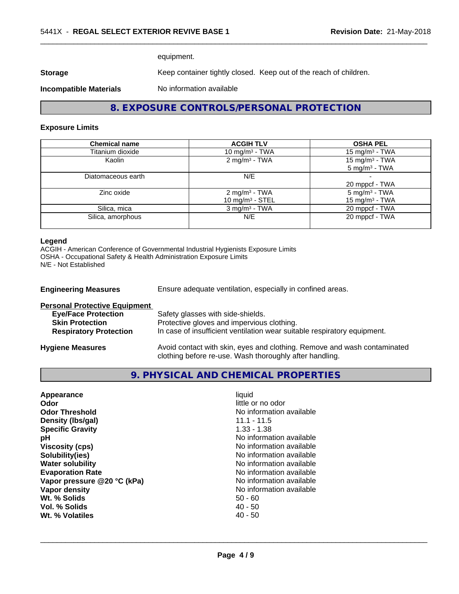equipment.

**Storage** Keep container tightly closed. Keep out of the reach of children.

**Incompatible Materials** No information available

**8. EXPOSURE CONTROLS/PERSONAL PROTECTION**

 $\overline{\phantom{a}}$  ,  $\overline{\phantom{a}}$  ,  $\overline{\phantom{a}}$  ,  $\overline{\phantom{a}}$  ,  $\overline{\phantom{a}}$  ,  $\overline{\phantom{a}}$  ,  $\overline{\phantom{a}}$  ,  $\overline{\phantom{a}}$  ,  $\overline{\phantom{a}}$  ,  $\overline{\phantom{a}}$  ,  $\overline{\phantom{a}}$  ,  $\overline{\phantom{a}}$  ,  $\overline{\phantom{a}}$  ,  $\overline{\phantom{a}}$  ,  $\overline{\phantom{a}}$  ,  $\overline{\phantom{a}}$ 

#### **Exposure Limits**

| <b>Chemical name</b> | <b>ACGIH TLV</b>                                | <b>OSHA PEL</b>                                        |
|----------------------|-------------------------------------------------|--------------------------------------------------------|
| Titanium dioxide     | 10 mg/m <sup>3</sup> - TWA                      | 15 mg/m <sup>3</sup> - TWA                             |
| Kaolin               | 2 mg/m <sup>3</sup> - TWA                       | 15 mg/m <sup>3</sup> - TWA<br>$5 \text{ mg/m}^3$ - TWA |
| Diatomaceous earth   | N/E                                             | 20 mppcf - TWA                                         |
| Zinc oxide           | 2 mg/m <sup>3</sup> - TWA<br>10 mg/m $3 -$ STEL | $5 \text{ mg/m}^3$ - TWA<br>15 mg/m <sup>3</sup> - TWA |
| Silica, mica         | $3$ mg/m <sup>3</sup> - TWA                     | 20 mppcf - TWA                                         |
| Silica, amorphous    | N/E                                             | 20 mppcf - TWA                                         |

#### **Legend**

ACGIH - American Conference of Governmental Industrial Hygienists Exposure Limits OSHA - Occupational Safety & Health Administration Exposure Limits N/E - Not Established

| <b>Engineering Measures</b>          | Ensure adequate ventilation, especially in confined areas.                                                                          |
|--------------------------------------|-------------------------------------------------------------------------------------------------------------------------------------|
| <b>Personal Protective Equipment</b> |                                                                                                                                     |
| <b>Eye/Face Protection</b>           | Safety glasses with side-shields.                                                                                                   |
| <b>Skin Protection</b>               | Protective gloves and impervious clothing.                                                                                          |
| <b>Respiratory Protection</b>        | In case of insufficient ventilation wear suitable respiratory equipment.                                                            |
| <b>Hygiene Measures</b>              | Avoid contact with skin, eyes and clothing. Remove and wash contaminated<br>clothing before re-use. Wash thoroughly after handling. |

## **9. PHYSICAL AND CHEMICAL PROPERTIES**

| Appearance                  | liquid                   |
|-----------------------------|--------------------------|
| Odor                        | little or no odor        |
| <b>Odor Threshold</b>       | No information available |
| Density (Ibs/gal)           | $11.1 - 11.5$            |
| <b>Specific Gravity</b>     | $1.33 - 1.38$            |
| рH                          | No information available |
| <b>Viscosity (cps)</b>      | No information available |
| Solubility(ies)             | No information available |
| <b>Water solubility</b>     | No information available |
| <b>Evaporation Rate</b>     | No information available |
| Vapor pressure @20 °C (kPa) | No information available |
| Vapor density               | No information available |
| Wt. % Solids                | $50 - 60$                |
| Vol. % Solids               | $40 - 50$                |
| Wt. % Volatiles             | $40 - 50$                |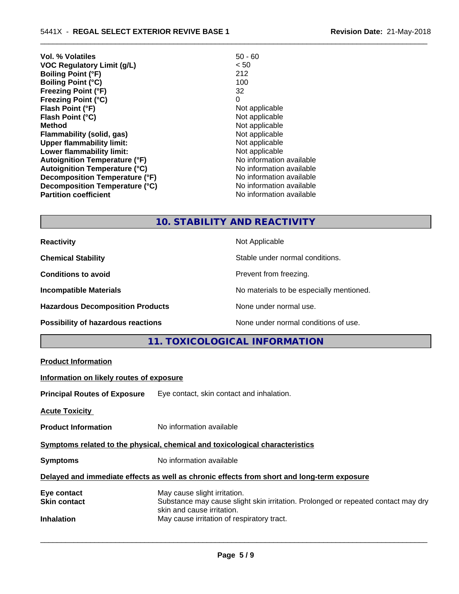| Vol. % Volatiles                     | $50 - 60$                |
|--------------------------------------|--------------------------|
| <b>VOC Regulatory Limit (g/L)</b>    | < 50                     |
| <b>Boiling Point (°F)</b>            | 212                      |
| <b>Boiling Point (°C)</b>            | 100                      |
| <b>Freezing Point (°F)</b>           | 32                       |
| <b>Freezing Point (°C)</b>           | 0                        |
| Flash Point (°F)                     | Not applicable           |
| Flash Point (°C)                     | Not applicable           |
| <b>Method</b>                        | Not applicable           |
| <b>Flammability (solid, gas)</b>     | Not applicable           |
| <b>Upper flammability limit:</b>     | Not applicable           |
| Lower flammability limit:            | Not applicable           |
| <b>Autoignition Temperature (°F)</b> | No information available |
| <b>Autoignition Temperature (°C)</b> | No information available |
| Decomposition Temperature (°F)       | No information available |
| Decomposition Temperature (°C)       | No information available |
| <b>Partition coefficient</b>         | No information available |
|                                      |                          |

## **10. STABILITY AND REACTIVITY**

 $\overline{\phantom{a}}$  ,  $\overline{\phantom{a}}$  ,  $\overline{\phantom{a}}$  ,  $\overline{\phantom{a}}$  ,  $\overline{\phantom{a}}$  ,  $\overline{\phantom{a}}$  ,  $\overline{\phantom{a}}$  ,  $\overline{\phantom{a}}$  ,  $\overline{\phantom{a}}$  ,  $\overline{\phantom{a}}$  ,  $\overline{\phantom{a}}$  ,  $\overline{\phantom{a}}$  ,  $\overline{\phantom{a}}$  ,  $\overline{\phantom{a}}$  ,  $\overline{\phantom{a}}$  ,  $\overline{\phantom{a}}$ 

| <b>Reactivity</b>                         | Not Applicable                           |
|-------------------------------------------|------------------------------------------|
| <b>Chemical Stability</b>                 | Stable under normal conditions.          |
| <b>Conditions to avoid</b>                | Prevent from freezing.                   |
| <b>Incompatible Materials</b>             | No materials to be especially mentioned. |
| <b>Hazardous Decomposition Products</b>   | None under normal use.                   |
| <b>Possibility of hazardous reactions</b> | None under normal conditions of use.     |

## **11. TOXICOLOGICAL INFORMATION**

|                                          | TE TUATUULUUTUAL INI UNIIATTUN                                                                                                                  |
|------------------------------------------|-------------------------------------------------------------------------------------------------------------------------------------------------|
| <b>Product Information</b>               |                                                                                                                                                 |
| Information on likely routes of exposure |                                                                                                                                                 |
|                                          | <b>Principal Routes of Exposure</b> Eye contact, skin contact and inhalation.                                                                   |
| <b>Acute Toxicity</b>                    |                                                                                                                                                 |
| <b>Product Information</b>               | No information available                                                                                                                        |
|                                          | Symptoms related to the physical, chemical and toxicological characteristics                                                                    |
| <b>Symptoms</b>                          | No information available                                                                                                                        |
|                                          | Delayed and immediate effects as well as chronic effects from short and long-term exposure                                                      |
| Eye contact<br><b>Skin contact</b>       | May cause slight irritation.<br>Substance may cause slight skin irritation. Prolonged or repeated contact may dry<br>skin and cause irritation. |
| <b>Inhalation</b>                        | May cause irritation of respiratory tract.                                                                                                      |
|                                          |                                                                                                                                                 |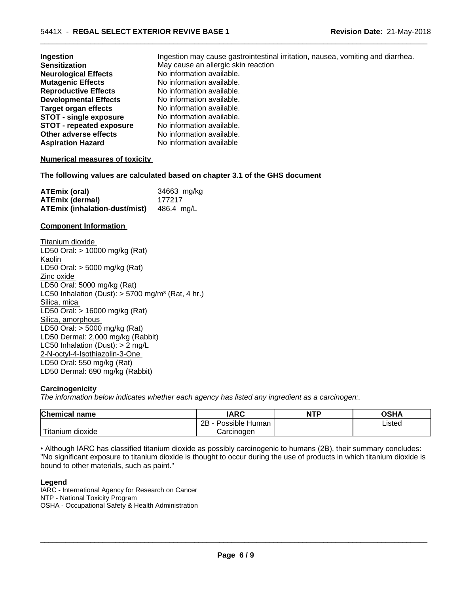| <b>Ingestion</b>                | Ingestion may cause gastrointestinal irritation, nausea, vomiting and diarrhea. |
|---------------------------------|---------------------------------------------------------------------------------|
| <b>Sensitization</b>            | May cause an allergic skin reaction                                             |
| <b>Neurological Effects</b>     | No information available.                                                       |
| <b>Mutagenic Effects</b>        | No information available.                                                       |
| <b>Reproductive Effects</b>     | No information available.                                                       |
| <b>Developmental Effects</b>    | No information available.                                                       |
| Target organ effects            | No information available.                                                       |
| <b>STOT - single exposure</b>   | No information available.                                                       |
| <b>STOT - repeated exposure</b> | No information available.                                                       |
| Other adverse effects           | No information available.                                                       |
| Aspiration Hazard               | No information available                                                        |

 $\overline{\phantom{a}}$  ,  $\overline{\phantom{a}}$  ,  $\overline{\phantom{a}}$  ,  $\overline{\phantom{a}}$  ,  $\overline{\phantom{a}}$  ,  $\overline{\phantom{a}}$  ,  $\overline{\phantom{a}}$  ,  $\overline{\phantom{a}}$  ,  $\overline{\phantom{a}}$  ,  $\overline{\phantom{a}}$  ,  $\overline{\phantom{a}}$  ,  $\overline{\phantom{a}}$  ,  $\overline{\phantom{a}}$  ,  $\overline{\phantom{a}}$  ,  $\overline{\phantom{a}}$  ,  $\overline{\phantom{a}}$ 

#### **Numerical measures of toxicity**

**The following values are calculated based on chapter 3.1 of the GHS document**

| <b>ATEmix (oral)</b>                            | 34663 mg/kg |
|-------------------------------------------------|-------------|
| <b>ATEmix (dermal)</b>                          | 177217      |
| <b>ATEmix (inhalation-dust/mist)</b> 486.4 mg/L |             |

#### **Component Information**

Titanium dioxide LD50 Oral: > 10000 mg/kg (Rat) Kaolin LD50 Oral: > 5000 mg/kg (Rat) Zinc oxide LD50 Oral: 5000 mg/kg (Rat) LC50 Inhalation (Dust):  $> 5700$  mg/m<sup>3</sup> (Rat, 4 hr.) Silica, mica LD50 Oral: > 16000 mg/kg (Rat) Silica, amorphous LD50 Oral: > 5000 mg/kg (Rat) LD50 Dermal: 2,000 mg/kg (Rabbit) LC50 Inhalation (Dust): > 2 mg/L 2-N-octyl-4-Isothiazolin-3-One LD50 Oral: 550 mg/kg (Rat) LD50 Dermal: 690 mg/kg (Rabbit)

#### **Carcinogenicity**

*The information below indicateswhether each agency has listed any ingredient as a carcinogen:.*

| <b>Chemical</b><br>name             | <b>IARC</b>                  | <b>NTP</b> | $\sim$ u $\prime$<br>שטש |
|-------------------------------------|------------------------------|------------|--------------------------|
|                                     | .<br>2B<br>Human<br>Possible |            | Listed<br>.              |
| $-1$<br>, dioxide<br><b>itanium</b> | Carcinogen                   |            |                          |

• Although IARC has classified titanium dioxide as possibly carcinogenic to humans (2B), their summary concludes: "No significant exposure to titanium dioxide is thought to occur during the use of products in which titanium dioxide is bound to other materials, such as paint."

#### **Legend**

IARC - International Agency for Research on Cancer NTP - National Toxicity Program OSHA - Occupational Safety & Health Administration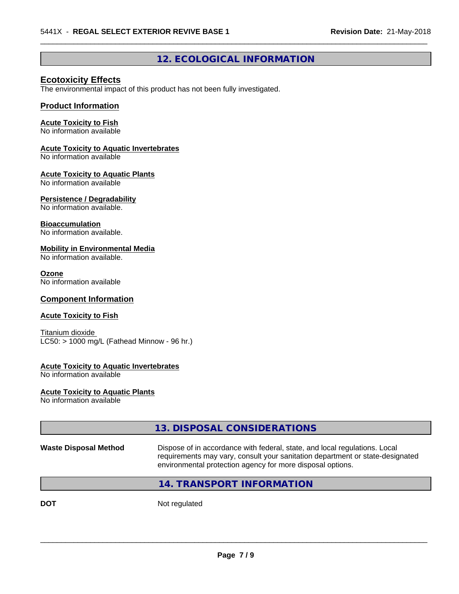## **12. ECOLOGICAL INFORMATION**

 $\overline{\phantom{a}}$  ,  $\overline{\phantom{a}}$  ,  $\overline{\phantom{a}}$  ,  $\overline{\phantom{a}}$  ,  $\overline{\phantom{a}}$  ,  $\overline{\phantom{a}}$  ,  $\overline{\phantom{a}}$  ,  $\overline{\phantom{a}}$  ,  $\overline{\phantom{a}}$  ,  $\overline{\phantom{a}}$  ,  $\overline{\phantom{a}}$  ,  $\overline{\phantom{a}}$  ,  $\overline{\phantom{a}}$  ,  $\overline{\phantom{a}}$  ,  $\overline{\phantom{a}}$  ,  $\overline{\phantom{a}}$ 

### **Ecotoxicity Effects**

The environmental impact of this product has not been fully investigated.

#### **Product Information**

## **Acute Toxicity to Fish**

No information available

#### **Acute Toxicity to Aquatic Invertebrates**

No information available

#### **Acute Toxicity to Aquatic Plants**

No information available

#### **Persistence / Degradability**

No information available.

#### **Bioaccumulation**

No information available.

#### **Mobility in Environmental Media**

No information available.

#### **Ozone**

No information available

#### **Component Information**

#### **Acute Toxicity to Fish**

Titanium dioxide  $LC50:$  > 1000 mg/L (Fathead Minnow - 96 hr.)

#### **Acute Toxicity to Aquatic Invertebrates**

No information available

## **Acute Toxicity to Aquatic Plants**

No information available

## **13. DISPOSAL CONSIDERATIONS**

**Waste Disposal Method** Dispose of in accordance with federal, state, and local regulations. Local requirements may vary, consult your sanitation department or state-designated environmental protection agency for more disposal options.

 $\overline{\phantom{a}}$  ,  $\overline{\phantom{a}}$  ,  $\overline{\phantom{a}}$  ,  $\overline{\phantom{a}}$  ,  $\overline{\phantom{a}}$  ,  $\overline{\phantom{a}}$  ,  $\overline{\phantom{a}}$  ,  $\overline{\phantom{a}}$  ,  $\overline{\phantom{a}}$  ,  $\overline{\phantom{a}}$  ,  $\overline{\phantom{a}}$  ,  $\overline{\phantom{a}}$  ,  $\overline{\phantom{a}}$  ,  $\overline{\phantom{a}}$  ,  $\overline{\phantom{a}}$  ,  $\overline{\phantom{a}}$ 

## **14. TRANSPORT INFORMATION**

**DOT** Not regulated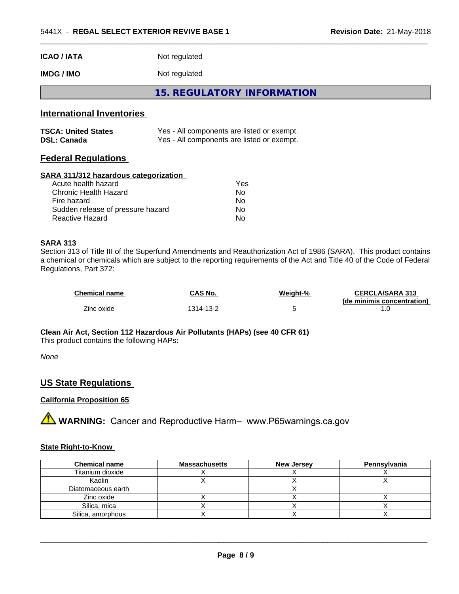| ICAO / IATA                               | Not regulated                                                                            |  |
|-------------------------------------------|------------------------------------------------------------------------------------------|--|
| IMDG / IMO                                | Not regulated                                                                            |  |
|                                           | <b>15. REGULATORY INFORMATION</b>                                                        |  |
| <b>International Inventories</b>          |                                                                                          |  |
| TSCA: United States<br><b>DSL: Canada</b> | Yes - All components are listed or exempt.<br>Yes - All components are listed or exempt. |  |
|                                           |                                                                                          |  |

 $\overline{\phantom{a}}$  ,  $\overline{\phantom{a}}$  ,  $\overline{\phantom{a}}$  ,  $\overline{\phantom{a}}$  ,  $\overline{\phantom{a}}$  ,  $\overline{\phantom{a}}$  ,  $\overline{\phantom{a}}$  ,  $\overline{\phantom{a}}$  ,  $\overline{\phantom{a}}$  ,  $\overline{\phantom{a}}$  ,  $\overline{\phantom{a}}$  ,  $\overline{\phantom{a}}$  ,  $\overline{\phantom{a}}$  ,  $\overline{\phantom{a}}$  ,  $\overline{\phantom{a}}$  ,  $\overline{\phantom{a}}$ 

## **Federal Regulations**

#### **SARA 311/312 hazardous categorization**

| Acute health hazard               | Yes |
|-----------------------------------|-----|
| Chronic Health Hazard             | Nο  |
| Fire hazard                       | Nο  |
| Sudden release of pressure hazard | N٥  |
| Reactive Hazard                   | Nο  |

### **SARA 313**

Section 313 of Title III of the Superfund Amendments and Reauthorization Act of 1986 (SARA). This product contains a chemical or chemicals which are subject to the reporting requirements of the Act and Title 40 of the Code of Federal Regulations, Part 372:

| <b>Chemical name</b> | CAS No.   | Weight-% | <b>CERCLA/SARA 313</b><br>(de minimis concentration) |
|----------------------|-----------|----------|------------------------------------------------------|
| Zinc oxide           | 1314-13-2 |          |                                                      |

## **Clean Air Act,Section 112 Hazardous Air Pollutants (HAPs) (see 40 CFR 61)**

This product contains the following HAPs:

*None*

## **US State Regulations**

#### **California Proposition 65**

**AVIMARNING:** Cancer and Reproductive Harm– www.P65warnings.ca.gov

#### **State Right-to-Know**

| <b>Chemical name</b> | <b>Massachusetts</b> | <b>New Jersey</b> | Pennsylvania |
|----------------------|----------------------|-------------------|--------------|
| Titanium dioxide     |                      |                   |              |
| Kaolin               |                      |                   |              |
| Diatomaceous earth   |                      |                   |              |
| Zinc oxide           |                      |                   |              |
| Silica, mica         |                      |                   |              |
| Silica, amorphous    |                      |                   |              |